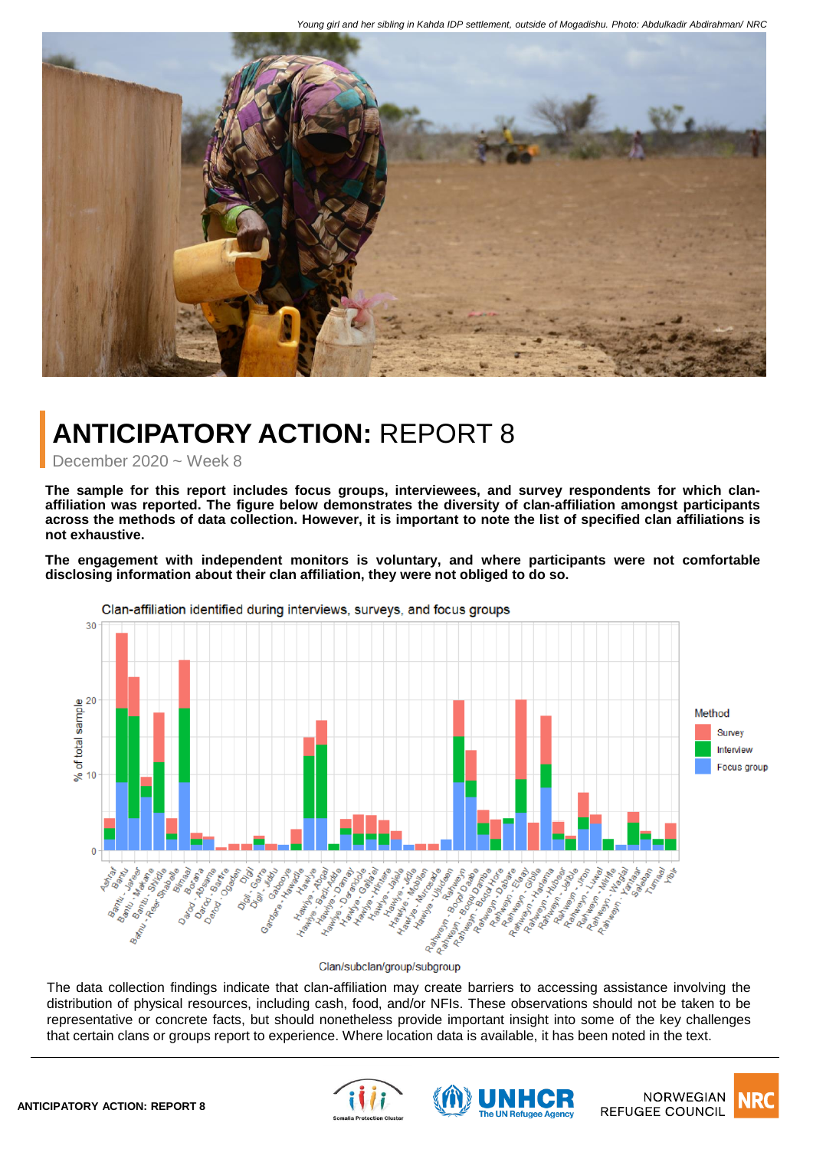

# **ANTICIPATORY ACTION:** REPORT 8

December 2020 ~ Week 8

**The sample for this report includes focus groups, interviewees, and survey respondents for which clanaffiliation was reported. The figure below demonstrates the diversity of clan-affiliation amongst participants** across the methods of data collection. However, it is important to note the list of specified clan affiliations is **not exhaustive.**

**The engagement with independent monitors is voluntary, and where participants were not comfortable disclosing information about their clan affiliation, they were not obliged to do so.**



Clan/subclan/group/subgroup

The data collection findings indicate that clan-affiliation may create barriers to accessing assistance involving the distribution of physical resources, including cash, food, and/or NFIs. These observations should not be taken to be representative or concrete facts, but should nonetheless provide important insight into some of the key challenges that certain clans or groups report to experience. Where location data is available, it has been noted in the text.





**NORWEGIAN REFUGEE COUNCIL**